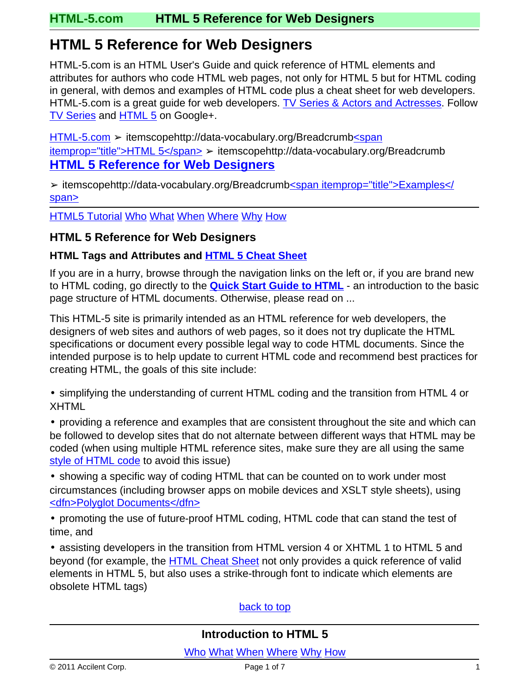## <span id="page-0-0"></span>**HTML 5 Reference for Web Designers**

HTML-5.com is an HTML User's Guide and quick reference of HTML elements and attributes for authors who code HTML web pages, not only for HTML 5 but for HTML coding in general, with demos and examples of HTML code plus a cheat sheet for web developers. HTML-5.com is a great guide for web developers. [TV Series & Actors and Actresses.](http://TVSeries.com/) Follow [TV Series](http://plus.google.com/115541175134064407557/) and [HTML 5](http://plus.google.com/100115770145624791433/) on Google+.

[HTML-5.com](http://www.HTML-5.com/index.html) > itemscopehttp://data-vocabulary.org/Breadcrum[b<span](/index.html) [itemprop="title">HTML 5</span>](/index.html) ➢ itemscopehttp://data-vocabulary.org/Breadcrumb **HTML 5 Reference for Web Designers**

➢ itemscopehttp://data-vocabulary.org/Breadcrumb[<span itemprop="title">Examples</](examples/index.html) [span>](examples/index.html)

**[HTML5 Tutorial](tutorials/) [Who](#page-4-0) [What](#page-1-0) [When](#page-4-1) [Where](#page-2-0) [Why](#page-1-1) [How](#page-3-0)** 

### **HTML 5 Reference for Web Designers**

#### **HTML Tags and Attributes and [HTML 5 Cheat Sheet](./cheat-sheet/)**

If you are in a hurry, browse through the navigation links on the left or, if you are brand new to HTML coding, go directly to the **[Quick Start Guide to HTML](tutorials/intro-to-html-5.html)** - an introduction to the basic page structure of HTML documents. Otherwise, please read on ...

This HTML-5 site is primarily intended as an HTML reference for web developers, the designers of web sites and authors of web pages, so it does not try duplicate the HTML specifications or document every possible legal way to code HTML documents. Since the intended purpose is to help update to current HTML code and recommend best practices for creating HTML, the goals of this site include:

• simplifying the understanding of current HTML coding and the transition from HTML 4 or XHTML

• providing a reference and examples that are consistent throughout the site and which can be followed to develop sites that do not alternate between different ways that HTML may be coded (when using multiple HTML reference sites, make sure they are all using the same [style of HTML code](tutorials/basic-html-structure.html#html-serialization) to avoid this issue)

• showing a specific way of coding HTML that can be counted on to work under most circumstances (including browser apps on mobile devices and XSLT style sheets), using [<dfn>Polyglot Documents</dfn>](./definitions/index.html#polyglot)

• promoting the use of future-proof HTML coding, HTML code that can stand the test of time, and

• assisting developers in the transition from HTML version 4 or XHTML 1 to HTML 5 and beyond (for example, the [HTML Cheat Sheet](./cheat-sheet/) not only provides a quick reference of valid elements in HTML 5, but also uses a strike-through font to indicate which elements are obsolete HTML tags)

#### [back to top](#page-0-0)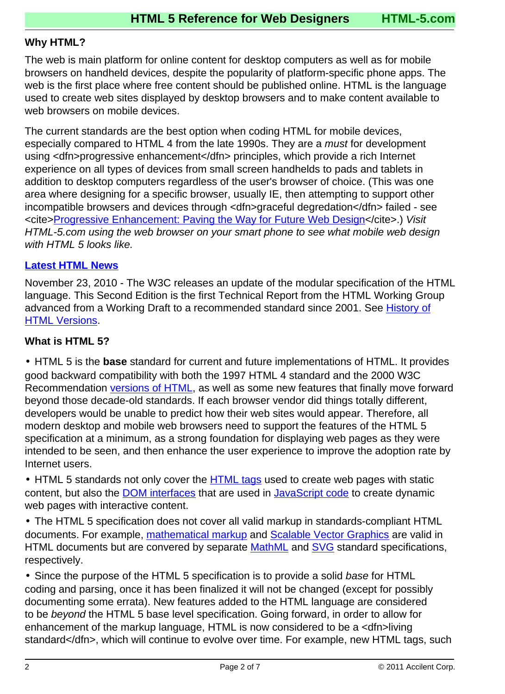#### <span id="page-1-1"></span>**Why HTML?**

The web is main platform for online content for desktop computers as well as for mobile browsers on handheld devices, despite the popularity of platform-specific phone apps. The web is the first place where free content should be published online. HTML is the language used to create web sites displayed by desktop browsers and to make content available to web browsers on mobile devices.

The current standards are the best option when coding HTML for mobile devices, especially compared to HTML 4 from the late 1990s. They are a *must* for development using <dfn>progressive enhancement</dfn> principles, which provide a rich Internet experience on all types of devices from small screen handhelds to pads and tablets in addition to desktop computers regardless of the user's browser of choice. (This was one area where designing for a specific browser, usually IE, then attempting to support other incompatible browsers and devices through <dfn>graceful degredation</dfn> failed - see <cite[>Progressive Enhancement: Paving the Way for Future Web Design<](http://www.hesketh.com/publications/articles/progressive-enhancement-paving-the-way-for/)/cite>.) Visit HTML-5.com using the web browser on your smart phone to see what mobile web design with HTML 5 looks like.

#### **[Latest HTML News](http://SPitBalls.com/Blog/Entries/2010/12/5_Update_to_HTML_Specs_from_W3C_HTML_Working_Group.html)**

November 23, 2010 - The W3C releases an update of the modular specification of the HTML language. This Second Edition is the first Technical Report from the HTML Working Group advanced from a Working Draft to a recommended standard since 2001. See [History of](html-versions-and-history.html#html-versions) [HTML Versions](html-versions-and-history.html#html-versions).

#### <span id="page-1-0"></span>**What is HTML 5?**

• HTML 5 is the **base** standard for current and future implementations of HTML. It provides good backward compatibility with both the 1997 HTML 4 standard and the 2000 W3C Recommendation [versions of HTML,](html-versions-and-history.html#html-versions) as well as some new features that finally move forward beyond those decade-old standards. If each browser vendor did things totally different, developers would be unable to predict how their web sites would appear. Therefore, all modern desktop and mobile web browsers need to support the features of the HTML 5 specification at a minimum, as a strong foundation for displaying web pages as they were intended to be seen, and then enhance the user experience to improve the adoption rate by Internet users.

• HTML 5 standards not only cover the **[HTML tags](tags/)** used to create web pages with static content, but also the [DOM interfaces](javascript/) that are used in [JavaScript code](javascript/) to create dynamic web pages with interactive content.

• The HTML 5 specification does not cover all valid markup in standards-compliant HTML documents. For example, [mathematical markup](tags/mathml-tags/) and [Scalable Vector Graphics](tags/svg-tag/) are valid in HTML documents but are convered by separate [MathML](tags/mathml-tags/) and [SVG](tags/svg-tag/) standard specifications, respectively.

• Since the purpose of the HTML 5 specification is to provide a solid base for HTML coding and parsing, once it has been finalized it will not be changed (except for possibly documenting some errata). New features added to the HTML language are considered to be beyond the HTML 5 base level specification. Going forward, in order to allow for enhancement of the markup language, HTML is now considered to be a <dfn>living standard</dfn>, which will continue to evolve over time. For example, new HTML tags, such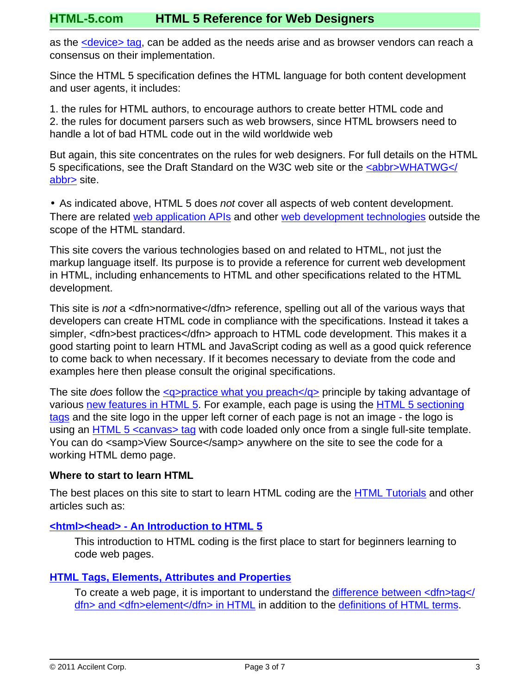as the [<device> tag](tags/device-tag/), can be added as the needs arise and as browser vendors can reach a consensus on their implementation.

Since the HTML 5 specification defines the HTML language for both content development and user agents, it includes:

1. the rules for HTML authors, to encourage authors to create better HTML code and 2. the rules for document parsers such as web browsers, since HTML browsers need to handle a lot of bad HTML code out in the wild worldwide web

But again, this site concentrates on the rules for web designers. For full details on the HTML 5 specifications, see the Draft Standard on the W3C web site or the [<abbr>WHATWG</](http://www.Acronyms.net/terms/w/Web-Hypertext-Application-Technology-Working-Group/) [abbr>](http://www.Acronyms.net/terms/w/Web-Hypertext-Application-Technology-Working-Group/) site.

• As indicated above, HTML 5 does *not* cover all aspects of web content development. There are related [web application APIs](interfaces/) and other [web development technologies](tutorials/web-development-technologies.html) outside the scope of the HTML standard.

This site covers the various technologies based on and related to HTML, not just the markup language itself. Its purpose is to provide a reference for current web development in HTML, including enhancements to HTML and other specifications related to the HTML development.

This site is not a <dfn>normative</dfn> reference, spelling out all of the various ways that developers can create HTML code in compliance with the specifications. Instead it takes a simpler, <dfn>best practices</dfn> approach to HTML code development. This makes it a good starting point to learn HTML and JavaScript coding as well as a good quick reference to come back to when necessary. If it becomes necessary to deviate from the code and examples here then please consult the original specifications.

The site does follow the  $\langle q \rangle$  practice what you preach $\langle q \rangle$  principle by taking advantage of various [new features in HTML 5](changes/). For example, each page is using the [HTML 5 sectioning](/tags/index.html#html-sectioning-tags) [tags](/tags/index.html#html-sectioning-tags) and the site logo in the upper left corner of each page is not an image - the logo is using an [HTML 5 <canvas> tag](/tags/canvas-tag/) with code loaded only once from a single full-site template. You can do <samp>View Source</samp> anywhere on the site to see the code for a working HTML demo page.

#### <span id="page-2-0"></span>**Where to start to learn HTML**

The best places on this site to start to learn HTML coding are the **HTML Tutorials** and other articles such as:

#### **[<html><head> - An Introduction to HTML 5](tutorials/intro-to-html-5.html)**

This introduction to HTML coding is the first place to start for beginners learning to code web pages.

#### **[HTML Tags, Elements, Attributes and Properties](tutorials/html-tags-elements-attributes-properties.html)**

To create a web page, it is important to understand the [difference between <dfn>tag</](tutorials/html-tags-elements-attributes-properties.html) [dfn> and <dfn>element</dfn> in HTML](tutorials/html-tags-elements-attributes-properties.html) in addition to the [definitions of HTML terms.](definitions/index.html)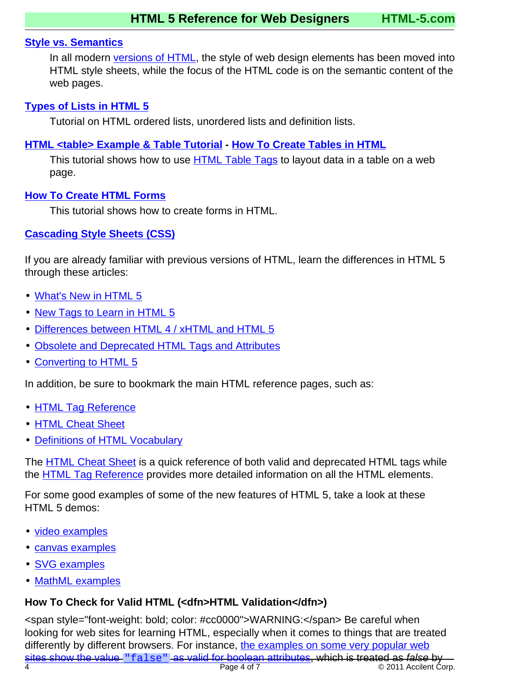#### **[Style vs. Semantics](tutorials/style-vs-semantics.html)**

In all modern [versions of HTML](html-versions-and-history.html#html-versions), the style of web design elements has been moved into HTML style sheets, while the focus of the HTML code is on the semantic content of the web pages.

#### **[Types of Lists in HTML 5](tutorials/html-list-types.html)**

Tutorial on HTML ordered lists, unordered lists and definition lists.

#### **[HTML <table> Example & Table Tutorial](tutorials/html-table-tutorial.html) - [How To Create Tables in HTML](tutorials/html-table-tutorial.html)**

This tutorial shows how to use [HTML Table Tags](tags/index.html#html-table-tags) to layout data in a table on a web page.

#### **[How To Create HTML Forms](tutorials/html-forms.html)**

This tutorial shows how to create forms in HTML.

#### **[Cascading Style Sheets \(CSS\)](css/css-styles/)**

If you are already familiar with previous versions of HTML, learn the differences in HTML 5 through these articles:

- [What's New in HTML 5](changes/)
- [New Tags to Learn in HTML 5](tutorials/new-html-tags.html)
- [Differences between HTML 4 / xHTML and HTML 5](changes/index.html#changes)
- [Obsolete and Deprecated HTML Tags and Attributes](changes/deprecated/)
- [Converting to HTML 5](tutorials/converting-to-html-5.html)

In addition, be sure to bookmark the main HTML reference pages, such as:

- [HTML Tag Reference](tags/)
- [HTML Cheat Sheet](cheat-sheet/)
- [Definitions of HTML Vocabulary](definitions/)

The [HTML Cheat Sheet](cheat-sheet/) is a quick reference of both valid and deprecated HTML tags while the [HTML Tag Reference](tags/) provides more detailed information on all the HTML elements.

For some good examples of some of the new features of HTML 5, take a look at these HTML 5 demos:

- [video examples](tags/video-tag/index.html#examples)
- [canvas examples](tags/canvas-tag/index.html#examples)
- [SVG examples](tags/svg-tag/index.html#examples)
- [MathML examples](tags/mathml-tags/index.html#examples)

## <span id="page-3-0"></span>**How To Check for Valid HTML (<dfn>HTML Validation</dfn>)**

Page 4 of 7 <sup>o</sup> 2011 Accilent Corp. <span style="font-weight: bold; color: #cc0000">WARNING:</span> Be careful when looking for web sites for learning HTML, especially when it comes to things that are treated differently by different browsers. For instance, [the examples on some very popular web](http://www.mail-archive.com/whatwg@lists.whatwg.org/msg11260.html) sites show the value "false" [as valid for boolean attributes](http://www.mail-archive.com/whatwg@lists.whatwg.org/msg11260.html), which is treated as false by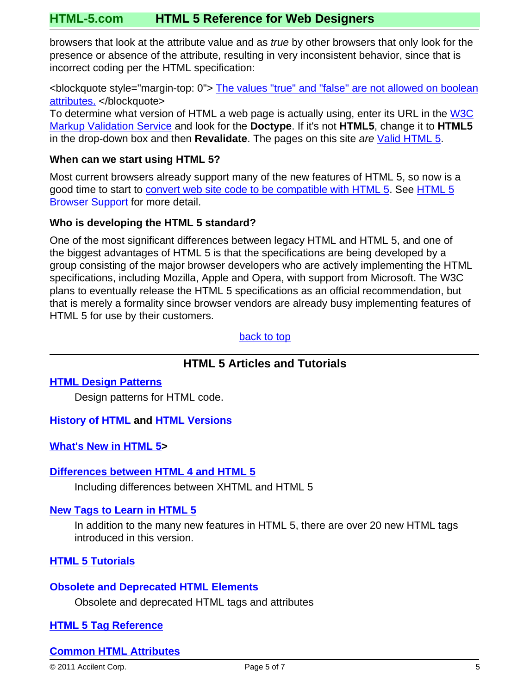browsers that look at the attribute value and as true by other browsers that only look for the presence or absence of the attribute, resulting in very inconsistent behavior, since that is incorrect coding per the HTML specification:

<blockquote style="margin-top: 0"> [The values "true" and "false" are not allowed on boolean](http://www.whatwg.org/specs/web-apps/current-work/multipage/common-microsyntaxes.html#boolean-attributes) [attributes.](http://www.whatwg.org/specs/web-apps/current-work/multipage/common-microsyntaxes.html#boolean-attributes) </blockquote>

To determine what version of HTML a web page is actually using, enter its URL in the [W3C](http://validator.w3.org/) [Markup Validation Service](http://validator.w3.org/) and look for the **Doctype**. If it's not **HTML5**, change it to **HTML5** in the drop-down box and then **Revalidate**. The pages on this site are [Valid HTML 5.](http://validator.w3.org/check?uri=http://www.HTML-5.com/)

#### <span id="page-4-1"></span>**When can we start using HTML 5?**

Most current browsers already support many of the new features of HTML 5, so now is a good time to start to [convert web site code to be compatible with HTML 5](tutorials/converting-to-html-5.html). See [HTML 5](#page-5-0) **[Browser Support](#page-5-0) for more detail.** 

#### <span id="page-4-0"></span>**Who is developing the HTML 5 standard?**

One of the most significant differences between legacy HTML and HTML 5, and one of the biggest advantages of HTML 5 is that the specifications are being developed by a group consisting of the major browser developers who are actively implementing the HTML specifications, including Mozilla, Apple and Opera, with support from Microsoft. The W3C plans to eventually release the HTML 5 specifications as an official recommendation, but that is merely a formality since browser vendors are already busy implementing features of HTML 5 for use by their customers.

[back to top](#page-0-0)

## **HTML 5 Articles and Tutorials**

#### **[HTML Design Patterns](design-patterns/)**

Design patterns for HTML code.

#### **[History of HTML](html-versions-and-history.html) and [HTML Versions](html-versions-and-history.html#html-versions)**

**[What's New in HTML 5](changes/)>**

#### **[Differences between HTML 4 and HTML 5](changes/)**

Including differences between XHTML and HTML 5

#### **[New Tags to Learn in HTML 5](tutorials/new-html-tags.html)**

In addition to the many new features in HTML 5, there are over 20 new HTML tags introduced in this version.

#### **[HTML 5 Tutorials](tutorials/)**

#### **[Obsolete and Deprecated HTML Elements](changes/deprecated/)**

Obsolete and deprecated HTML tags and attributes

#### **[HTML 5 Tag Reference](tags/)**

#### **[Common HTML Attributes](attributes/)**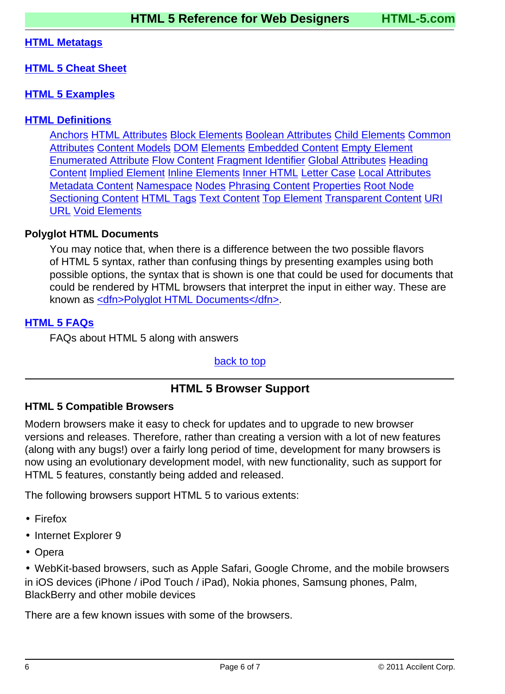#### **[HTML Metatags](metatags/)**

#### **[HTML 5 Cheat Sheet](cheat-sheet/)**

#### **[HTML 5 Examples](examples/)**

#### **[HTML Definitions](definitions/)**

[Anchors](definitions/index.html#anchor) [HTML Attributes](definitions/index.html#attribute) [Block Elements](definitions/index.html#block-element) [Boolean Attributes](definitions/index.html#boolean-attribute) [Child Elements](definitions/index.html#child-element) [Common](definitions/index.html#common-attribute) [Attributes](definitions/index.html#common-attribute) [Content Models](definitions/index.html#content-model) [DOM](definitions/index.html#document-object-model) [Elements](definitions/index.html#element) [Embedded Content](definitions/index.html#embedded-content) [Empty Element](definitions/index.html#empty-element) [Enumerated Attribute](definitions/index.html#enumerated-attribute) [Flow Content](definitions/index.html#flow-content) [Fragment Identifier](definitions/index.html#fragment-identifier) [Global Attributes](definitions/index.html#global-attribute) [Heading](definitions/index.html#heading-content) [Content](definitions/index.html#heading-content) [Implied Element](definitions/index.html#implied-element) [Inline Elements](definitions/index.html#inline-element) [Inner HTML](definitions/index.html#inner-html) [Letter Case](definitions/index.html#letter-case) [Local Attributes](definitions/index.html#local-attribute) [Metadata Content](definitions/index.html#metadata-content) [Namespace](definitions/index.html#namespace) [Nodes](definitions/index.html#node) [Phrasing Content](definitions/index.html#phrasing-content) [Properties](definitions/index.html#property) [Root Node](definitions/index.html#root-node) [Sectioning Content](definitions/index.html#sectioning-content) [HTML Tags](definitions/index.html#tag) [Text Content](definitions/index.html#text-content) [Top Element](definitions/index.html#top-element) [Transparent Content](definitions/index.html#transparent-content) [URI](definitions/index.html#uri) [URL](definitions/index.html#url) [Void Elements](definitions/index.html#void-element)

#### **Polyglot HTML Documents**

You may notice that, when there is a difference between the two possible flavors of HTML 5 syntax, rather than confusing things by presenting examples using both possible options, the syntax that is shown is one that could be used for documents that could be rendered by HTML browsers that interpret the input in either way. These are known as [<dfn>Polyglot HTML Documents</dfn>](definitions/index.html#polyglot).

#### **[HTML 5 FAQs](faqs/)**

FAQs about HTML 5 along with answers

[back to top](#page-0-0)

## **HTML 5 Browser Support**

#### <span id="page-5-0"></span>**HTML 5 Compatible Browsers**

Modern browsers make it easy to check for updates and to upgrade to new browser versions and releases. Therefore, rather than creating a version with a lot of new features (along with any bugs!) over a fairly long period of time, development for many browsers is now using an evolutionary development model, with new functionality, such as support for HTML 5 features, constantly being added and released.

The following browsers support HTML 5 to various extents:

- Firefox
- Internet Explorer 9
- Opera

• WebKit-based browsers, such as Apple Safari, Google Chrome, and the mobile browsers in iOS devices (iPhone / iPod Touch / iPad), Nokia phones, Samsung phones, Palm, BlackBerry and other mobile devices

There are a few known issues with some of the browsers.